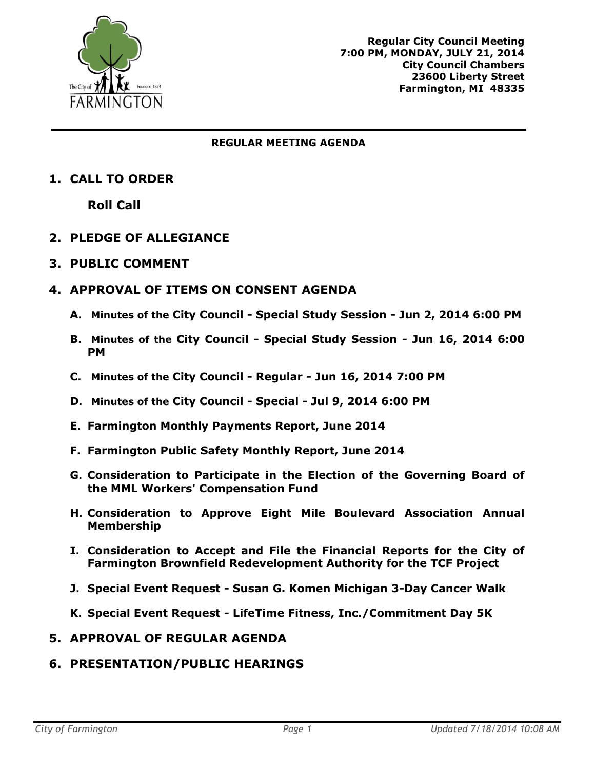

#### **REGULAR MEETING AGENDA**

# **1. CALL TO ORDER**

**Roll Call**

# **2. PLEDGE OF ALLEGIANCE**

### **3. PUBLIC COMMENT**

# **4. APPROVAL OF ITEMS ON CONSENT AGENDA**

- **A. Minutes of the City Council - Special Study Session - Jun 2, 2014 6:00 PM**
- **B. Minutes of the City Council - Special Study Session - Jun 16, 2014 6:00 PM**
- **C. Minutes of the City Council - Regular - Jun 16, 2014 7:00 PM**
- **D. Minutes of the City Council - Special - Jul 9, 2014 6:00 PM**
- **E. Farmington Monthly Payments Report, June 2014**
- **F. Farmington Public Safety Monthly Report, June 2014**
- **G. Consideration to Participate in the Election of the Governing Board of the MML Workers' Compensation Fund**
- **H. Consideration to Approve Eight Mile Boulevard Association Annual Membership**
- **I. Consideration to Accept and File the Financial Reports for the City of Farmington Brownfield Redevelopment Authority for the TCF Project**
- **J. Special Event Request - Susan G. Komen Michigan 3-Day Cancer Walk**
- **K. Special Event Request - LifeTime Fitness, Inc./Commitment Day 5K**

### **5. APPROVAL OF REGULAR AGENDA**

# **6. PRESENTATION/PUBLIC HEARINGS**